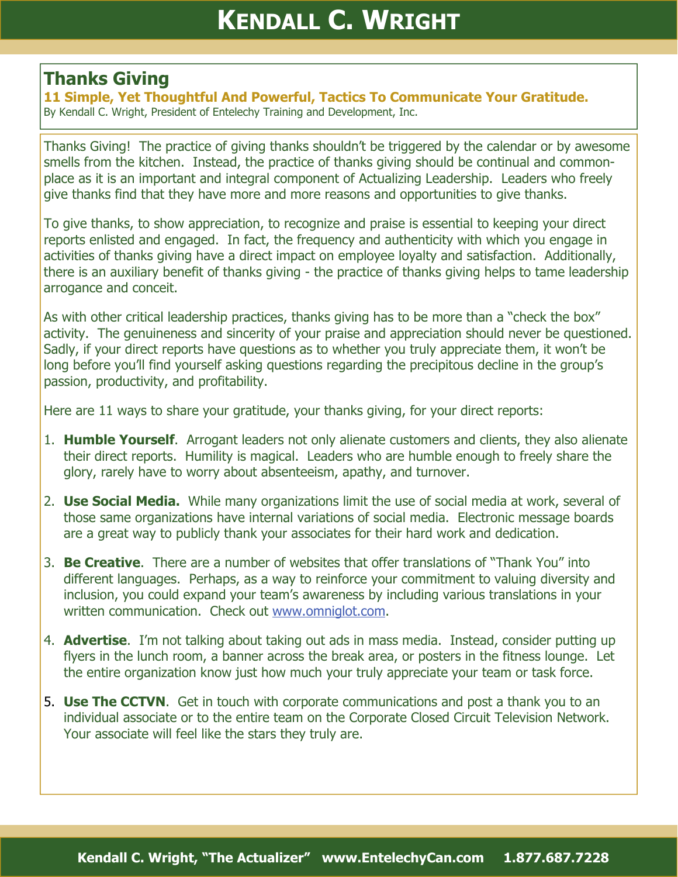## **Thanks Giving**

**11 Simple, Yet Thoughtful And Powerful, Tactics To Communicate Your Gratitude.**  By Kendall C. Wright, President of Entelechy Training and Development, Inc.

Thanks Giving! The practice of giving thanks shouldn't be triggered by the calendar or by awesome smells from the kitchen. Instead, the practice of thanks giving should be continual and commonplace as it is an important and integral component of Actualizing Leadership. Leaders who freely give thanks find that they have more and more reasons and opportunities to give thanks.

To give thanks, to show appreciation, to recognize and praise is essential to keeping your direct reports enlisted and engaged. In fact, the frequency and authenticity with which you engage in activities of thanks giving have a direct impact on employee loyalty and satisfaction. Additionally, there is an auxiliary benefit of thanks giving - the practice of thanks giving helps to tame leadership arrogance and conceit.

As with other critical leadership practices, thanks giving has to be more than a "check the box" activity. The genuineness and sincerity of your praise and appreciation should never be questioned. Sadly, if your direct reports have questions as to whether you truly appreciate them, it won't be long before you'll find yourself asking questions regarding the precipitous decline in the group's passion, productivity, and profitability.

Here are 11 ways to share your gratitude, your thanks giving, for your direct reports:

- 1. **Humble Yourself**. Arrogant leaders not only alienate customers and clients, they also alienate their direct reports. Humility is magical. Leaders who are humble enough to freely share the glory, rarely have to worry about absenteeism, apathy, and turnover.
- 2. **Use Social Media.** While many organizations limit the use of social media at work, several of those same organizations have internal variations of social media. Electronic message boards are a great way to publicly thank your associates for their hard work and dedication.
- 3. **Be Creative**. There are a number of websites that offer translations of "Thank You" into different languages. Perhaps, as a way to reinforce your commitment to valuing diversity and inclusion, you could expand your team's awareness by including various translations in your written communication. Check out [www.omniglot.com](http://www.omniglot.com).
- 4. **Advertise**. I'm not talking about taking out ads in mass media. Instead, consider putting up flyers in the lunch room, a banner across the break area, or posters in the fitness lounge. Let the entire organization know just how much your truly appreciate your team or task force.
- 5. **Use The CCTVN**. Get in touch with corporate communications and post a thank you to an individual associate or to the entire team on the Corporate Closed Circuit Television Network. Your associate will feel like the stars they truly are.